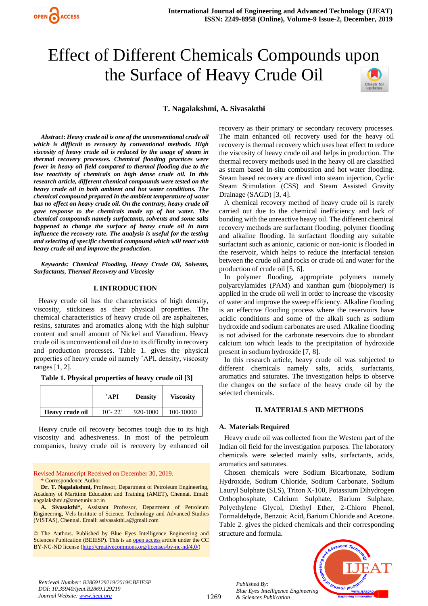

# Effect of Different Chemicals Compounds upon the Surface of Heavy Crude Oil



# **T. Nagalakshmi, A. Sivasakthi**

*Abstract***:** *Heavy crude oil is one of the unconventional crude oil which is difficult to recovery by conventional methods. High viscosity of heavy crude oil is reduced by the usage of steam in thermal recovery processes. Chemical flooding practices were fewer in heavy oil field compared to thermal flooding due to the low reactivity of chemicals on high dense crude oil. In this research article, different chemical compounds were tested on the heavy crude oil in both ambient and hot water conditions. The chemical compound prepared in the ambient temperature of water has no effect on heavy crude oil. On the contrary, heavy crude oil gave response to the chemicals made up of hot water. The chemical compounds namely surfactants, solvents and some salts happened to change the surface of heavy crude oil in turn influence the recovery rate. The analysis is useful for the testing and selecting of specific chemical compound which will react with heavy crude oil and improve the production.* 

*Keywords: Chemical Flooding, Heavy Crude Oil, Solvents, Surfactants, Thermal Recovery and Viscosity*

### **I. INTRODUCTION**

Heavy crude oil has the characteristics of high density, viscosity, stickiness as their physical properties. The chemical characteristics of heavy crude oil are asphaltenes, resins, saturates and aromatics along with the high sulphur content and small amount of Nickel and Vanadium. Heavy crude oil is unconventional oil due to its difficulty in recovery and production processes. Table 1. gives the physical properties of heavy crude oil namely ˚API, density, viscosity ranges [1, 2].

| Table 1. Physical properties of heavy crude oil [3] |  |  |  |  |  |
|-----------------------------------------------------|--|--|--|--|--|
|-----------------------------------------------------|--|--|--|--|--|

|                 | $^{\circ}$ API            | <b>Density</b> | <b>Viscosity</b> |
|-----------------|---------------------------|----------------|------------------|
| Heavy crude oil | $10^{\circ} - 22^{\circ}$ | 920-1000       | 100-10000        |

Heavy crude oil recovery becomes tough due to its high viscosity and adhesiveness. In most of the petroleum companies, heavy crude oil is recovery by enhanced oil

Revised Manuscript Received on December 30, 2019. \* Correspondence Author

**Dr. T. Nagalakshmi,** Professor, Department of Petroleum Engineering, Academy of Maritime Education and Training (AMET), Chennai. Email: nagalakshmi.t@ametuniv.ac.in

**A. Sivasakthi\*,** Assistant Professor, Department of Petroleum Engineering, Vels Institute of Science, Technology and Advanced Studies (VISTAS), Chennai. Email: asivasakthi.a@gmail.com

© The Authors. Published by Blue Eyes Intelligence Engineering and Sciences Publication (BEIESP). This is a[n open access](https://www.openaccess.nl/en/open-publications) article under the CC BY-NC-ND license [\(http://creativecommons.org/licenses/by-nc-nd/4.0/\)](http://creativecommons.org/licenses/by-nc-nd/4.0/)

recovery as their primary or secondary recovery processes. The main enhanced oil recovery used for the heavy oil recovery is thermal recovery which uses heat effect to reduce the viscosity of heavy crude oil and helps in production. The thermal recovery methods used in the heavy oil are classified as steam based In-situ combustion and hot water flooding. Steam based recovery are dived into steam injection, Cyclic Steam Stimulation (CSS) and Steam Assisted Gravity Drainage (SAGD) [3, 4].

A chemical recovery method of heavy crude oil is rarely carried out due to the chemical inefficiency and lack of bonding with the unreactive heavy oil. The different chemical recovery methods are surfactant flooding, polymer flooding and alkaline flooding. In surfactant flooding any suitable surfactant such as anionic, cationic or non-ionic is flooded in the reservoir, which helps to reduce the interfacial tension between the crude oil and rocks or crude oil and water for the production of crude oil [5, 6].

In polymer flooding, appropriate polymers namely polyarcylamides (PAM) and xanthan gum (biopolymer) is applied in the crude oil well in order to increase the viscosity of water and improve the sweep efficiency. Alkaline flooding is an effective flooding process where the reservoirs have acidic conditions and some of the alkali such as sodium hydroxide and sodium carbonates are used. Alkaline flooding is not advised for the carbonate reservoirs due to abundant calcium ion which leads to the precipitation of hydroxide present in sodium hydroxide [7, 8].

In this research article, heavy crude oil was subjected to different chemicals namely salts, acids, surfactants, aromatics and saturates. The investigation helps to observe the changes on the surface of the heavy crude oil by the selected chemicals.

## **II. MATERIALS AND METHODS**

#### **A. Materials Required**

*Published By:*

*& Sciences Publication* 

Heavy crude oil was collected from the Western part of the Indian oil field for the investigation purposes. The laboratory chemicals were selected mainly salts, surfactants, acids, aromatics and saturates.

Chosen chemicals were Sodium Bicarbonate, Sodium Hydroxide, Sodium Chloride, Sodium Carbonate, Sodium Lauryl Sulphate (SLS), Triton X-100, Potassium Dihydrogen Orthophosphate, Calcium Sulphate, Barium Sulphate, Polyethylene Glycol, Diethyl Ether, 2-Chloro Phenol, Formaldehyde, Benzoic Acid, Barium Chloride and Acetone. Table 2. gives the picked chemicals and their corresponding structure and formula.



*Retrieval Number: B2869129219/2019©BEIESP DOI: 10.35940/ijeat.B2869.129219 Journal Website[: www.ijeat.org](http://www.ijeat.org/)*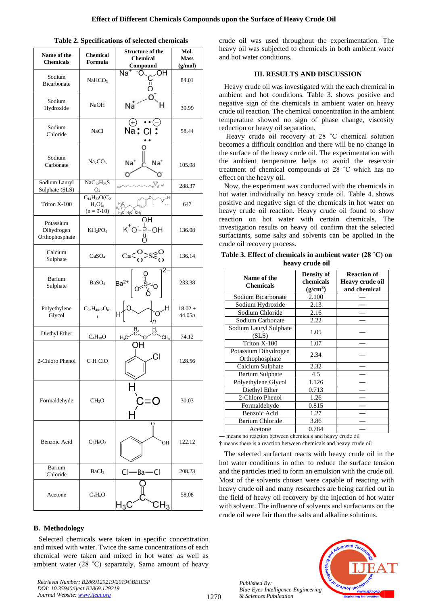| Name of the<br><b>Chemicals</b>           | <b>Chemical</b><br>Formula                        | <b>Structure of the</b><br><b>Chemical</b><br>Compound | Mol.<br><b>Mass</b><br>(g/mol) |  |
|-------------------------------------------|---------------------------------------------------|--------------------------------------------------------|--------------------------------|--|
| Sodium<br>Bicarbonate                     | NaHCO <sub>3</sub>                                | Na<br>ж                                                | 84.01                          |  |
| Sodium<br>Hydroxide                       | <b>NaOH</b>                                       | Na                                                     | 39.99                          |  |
| Sodium<br>Chloride                        | NaCl                                              | Na:                                                    | 58.44                          |  |
| Sodium<br>Carbonate                       | Na <sub>2</sub> CO <sub>3</sub>                   | Na <sup>+</sup><br>Na <sup>+</sup><br>O                | 105.98                         |  |
| Sodium Lauryl<br>Sulphate (SLS)           | $NaC_{12}H_{25}S$<br>$O_4$                        | Sg nd<br>$H_3C$                                        | 288.37                         |  |
| Triton X-100                              | $C_{14}H_{22}O(C_{2}$<br>$H_4O_n$<br>$(n = 9-10)$ | $H_3C$<br>$H_3C$<br>$H_3C$ $H_3C$ $CH_3$               | 647                            |  |
| Potassium<br>Dihydrogen<br>Orthophosphate | $KH_2PO_4$                                        | $K^+O^-$ P-OH                                          | 136.08                         |  |
| Calcium<br>Sulphate                       | CaSO <sub>4</sub>                                 | Ca                                                     | 136.14                         |  |
| Barium<br>Sulphate                        | BaSO <sub>4</sub>                                 | $Ba2+$                                                 | 233.38                         |  |
| Polyethylene<br>Glycol                    | $C_{2n}H_{4n+2}O_{n+}$                            | н<br>н                                                 | $18.02 +$<br>44.05n            |  |
| Diethyl Ether                             | $C_4H_{10}O$                                      | $\frac{H}{2}$<br>H <sub>2</sub><br>$H_3C$<br>CH,       | 74.12                          |  |
| 2-Chloro Phenol                           | $C_6H_5ClO$                                       | IJ                                                     | 128.56                         |  |
| Formaldehyde                              | CH <sub>2</sub> O                                 | C=C                                                    | 30.03                          |  |
| Benzoic Acid                              | $C_7H_6O_2$                                       | О<br>OH                                                | 122.12                         |  |
| Barium<br>Chloride                        | BaCl <sub>2</sub>                                 | $Cl - Ba - Cl$                                         | 208.23                         |  |
| Acetone                                   | $C_3H_6O$                                         |                                                        | 58.08                          |  |

### **Table 2. Specifications of selected chemicals**

## **B. Methodology**

Selected chemicals were taken in specific concentration and mixed with water. Twice the same concentrations of each chemical were taken and mixed in hot water as well as ambient water (28 ˚C) separately. Same amount of heavy

*Retrieval Number: B2869129219/2019©BEIESP DOI: 10.35940/ijeat.B2869.129219 Journal Website: [www.ijeat.org](http://www.ijeat.org/)*

crude oil was used throughout the experimentation. The heavy oil was subjected to chemicals in both ambient water and hot water conditions.

## **III. RESULTS AND DISCUSSION**

Heavy crude oil was investigated with the each chemical in ambient and hot conditions. Table 3. shows positive and negative sign of the chemicals in ambient water on heavy crude oil reaction. The chemical concentration in the ambient temperature showed no sign of phase change, viscosity reduction or heavy oil separation.

Heavy crude oil recovery at 28 ˚C chemical solution becomes a difficult condition and there will be no change in the surface of the heavy crude oil. The experimentation with the ambient temperature helps to avoid the reservoir treatment of chemical compounds at 28 ˚C which has no effect on the heavy oil.

Now, the experiment was conducted with the chemicals in hot water individually on heavy crude oil. Table 4. shows positive and negative sign of the chemicals in hot water on heavy crude oil reaction. Heavy crude oil found to show reaction on hot water with certain chemicals. The investigation results on heavy oil confirm that the selected surfactants, some salts and solvents can be applied in the crude oil recovery process.

|  | Table 3. Effect of chemicals in ambient water $(28 \degree C)$ on |  |  |  |
|--|-------------------------------------------------------------------|--|--|--|
|  | heavy crude oil                                                   |  |  |  |

| Name of the<br><b>Chemicals</b>        | <b>Density of</b><br>chemicals<br>(g/cm <sup>3</sup> ) | <b>Reaction of</b><br><b>Heavy crude oil</b><br>and chemical |  |  |  |  |
|----------------------------------------|--------------------------------------------------------|--------------------------------------------------------------|--|--|--|--|
| Sodium Bicarbonate                     | 2.100                                                  |                                                              |  |  |  |  |
| Sodium Hydroxide                       | 2.13                                                   |                                                              |  |  |  |  |
| Sodium Chloride                        | 2.16                                                   |                                                              |  |  |  |  |
| Sodium Carbonate                       | 2.22                                                   |                                                              |  |  |  |  |
| Sodium Lauryl Sulphate<br>(SLS)        | 1.05                                                   |                                                              |  |  |  |  |
| Triton X-100                           | 1.07                                                   |                                                              |  |  |  |  |
| Potassium Dihydrogen<br>Orthophosphate | 2.34                                                   |                                                              |  |  |  |  |
| Calcium Sulphate                       | 2.32                                                   |                                                              |  |  |  |  |
| Barium Sulphate                        | 4.5                                                    |                                                              |  |  |  |  |
| Polyethylene Glycol                    | 1.126                                                  |                                                              |  |  |  |  |
| Diethyl Ether                          | 0.713                                                  |                                                              |  |  |  |  |
| 2-Chloro Phenol                        | 1.26                                                   |                                                              |  |  |  |  |
| Formaldehyde                           | 0.815                                                  |                                                              |  |  |  |  |
| Benzoic Acid                           | 1.27                                                   |                                                              |  |  |  |  |
| <b>Barium Chloride</b>                 | 3.86                                                   |                                                              |  |  |  |  |
| Acetone                                | 0.784                                                  |                                                              |  |  |  |  |

― means no reaction between chemicals and heavy crude oil † means there is a reaction between chemicals and heavy crude oil

The selected surfactant reacts with heavy crude oil in the hot water conditions in other to reduce the surface tension and the particles tried to form an emulsion with the crude oil. Most of the solvents chosen were capable of reacting with heavy crude oil and many researches are being carried out in the field of heavy oil recovery by the injection of hot water with solvent. The influence of solvents and surfactants on the crude oil were fair than the salts and alkaline solutions.



*Published By: Blue Eyes Intelligence Engineering & Sciences Publication*